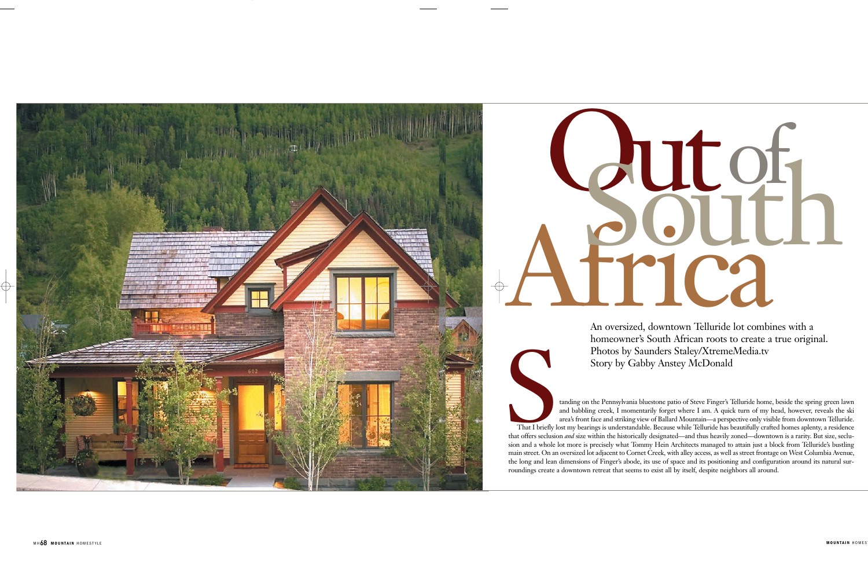and babbling creek, I momentarily forget where I am. A quick turn of my head, however, reveals the ski area's front face and striking view of Ballard Mountain—a perspective only visible from downtown Telluride.

Photos by Saunders Staley/XtremeMedia.tv<br>Story by Gabby Anstey McDonald<br>and Mountain the Pennsylvania bluestone patio of Steve Finger's Telluride home, beside the spring green lawn<br>and babbling creek, I momentarily forget That I briefly lost my bearings is understandable. Because while Telluride has beautifully crafted homes aplenty, a residence that offers seclusion *and* size within the historically designated—and thus heavily zoned—downtown is a rarity. But size, seclusion and a whole lot more is precisely what Tommy Hein Architects managed to attain just a block from Telluride's bustling main street. On an oversized lot adjacent to Cornet Creek, with alley access, as well as street frontage on West Columbia Avenue, the long and lean dimensions of Finger's abode, its use of space and its positioning and configuration around its natural surroundings create a downtown retreat that seems to exist all by itself, despite neighbors all around.

An oversized, downtown Telluride lot combines with a homeowner's South African roots to create a true original. Photos by Saunders Staley/XtremeMedia.tv Story by Gabby Anstey McDonald



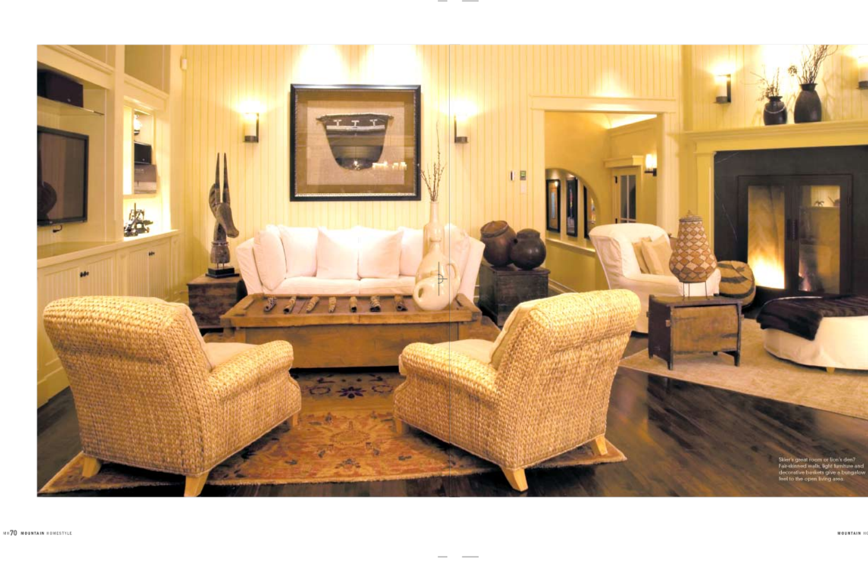

Skier's great room or lice's den?<br>Fair-stinned walls, light furniture and<br>decorative baskets give a bungalow<br>feel to the open living area.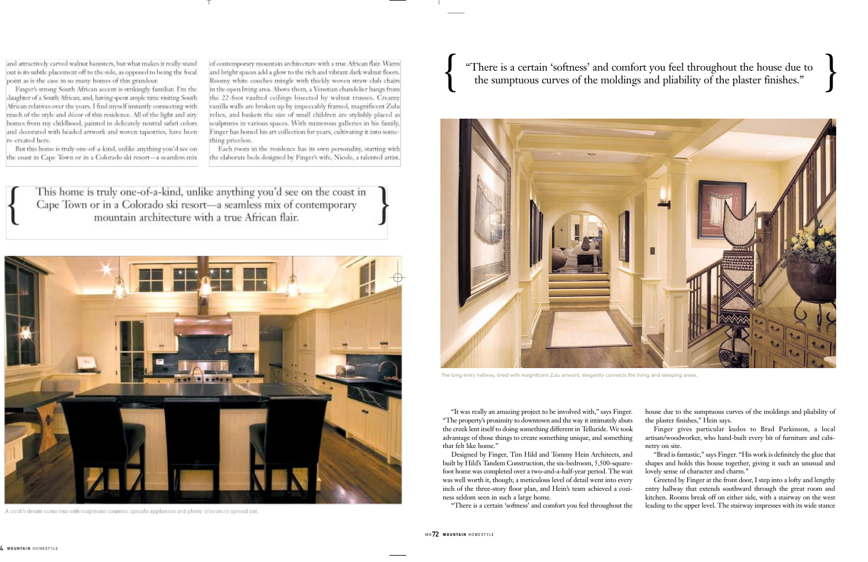and attractively carved walnut banisters, but what makes it really stand out is its subtle placement off to the side, as opposed to being the focal point as is the case in so many homes of this grandeur.

Finger's strong South African accent is strikingly familiar. I'm the daughter of a South African, and, having spent ample time visiting South African relatives over the years. I find myself instantly connecting with much of the style and décor of this residence. All of the light and airy homes from my childhood, painted in delicately neutral safari colors and decorated with beaded artwork and woven tapestries, have been re-created here.

But this home is truly one-of-a-kind, unlike anything you'd see on the coast in Cape Town or in a Colorado ski resort-a seamless mix of contemporary mountain architecture with a true African flair. Warm and bright spaces add a glow to the rich and vibrant dark walnut floors. Roomy white couches mingle with thickly woven straw club chairs in the open living area. Above them, a Venetian chandelier hangs from the 22-foot vaulted ceilings bisected by walnut trusses. Creamy vanilla walls are broken up by impeccably framed, magnificent Zulu relics, and baskets the size of small children are stylishly placed as sculptures in various spaces. With numerous galleries in his family, inger has honed his art collection for years, cultivating it into something priceless.

Each room in the residence has its own personality, starting with the elaborate beds designed by Finger's wife, Nicole, a talented artist.

This home is truly one-of-a-kind, unlike anything you'd see on the coast in Cape Town or in a Colorado ski resort-a seamless mix of contemporary mountain architecture with a true African flair.



A cook's dream come true with soapstone counters, upscale appliances and plenty of room to spread out.

"There is a certain 'softness' and comfort you feel throughout the house due to the sumptuous curves of the moldings and pliability of the plaster finishes."

"It was really an amazing project to be involved with," says Finger. "The property's proximity to downtown and the way it intimately abuts the creek lent itself to doing something different in Telluride. We took advantage of those things to create something unique, and something that felt like home."

Designed by Finger, Tim Hild and Tommy Hein Architects, and built by Hild's Tandem Construction, the six-bedroom, 5,500-squarefoot home was completed over a two-and-a-half-year period. The wait was well worth it, though; a meticulous level of detail went into every inch of the three-story floor plan, and Hein's team achieved a coziness seldom seen in such a large home.

"There is a certain 'softness' and comfort you feel throughout the

house due to the sumptuous curves of the moldings and pliability of the plaster finishes," Hein says.

Finger gives particular kudos to Brad Parkinson, a local artisan/woodworker, who hand-built every bit of furniture and cabinetry on site.

"Brad is fantastic," says Finger. "His work is definitely the glue that shapes and holds this house together, giving it such an unusual and lovely sense of character and charm."

Greeted by Finger at the front door, I step into a lofty and lengthy entry hallway that extends southward through the great room and kitchen. Rooms break off on either side, with a stairway on the west leading to the upper level. The stairway impresses with its wide stance



The long entry hallway, lined with magnificent Zulu artwork, elegantly connects the living and sleeping areas.